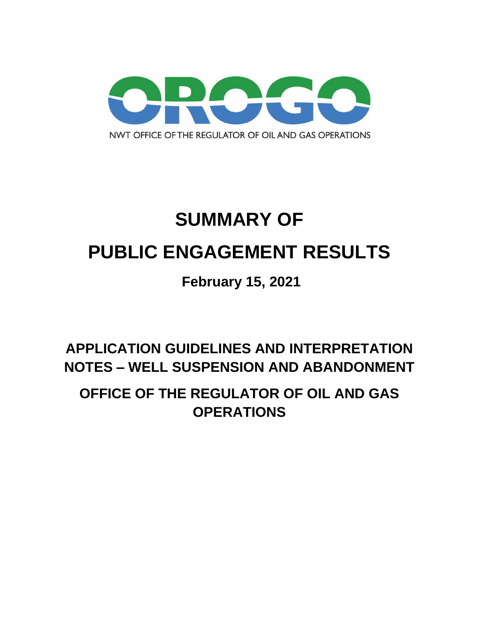

# **SUMMARY OF PUBLIC ENGAGEMENT RESULTS**

# **February 15, 2021**

**APPLICATION GUIDELINES AND INTERPRETATION NOTES – WELL SUSPENSION AND ABANDONMENT**

**OFFICE OF THE REGULATOR OF OIL AND GAS OPERATIONS**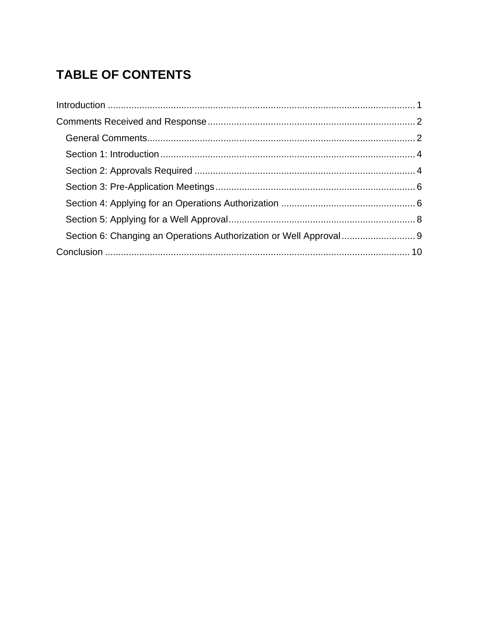# **TABLE OF CONTENTS**

| Section 6: Changing an Operations Authorization or Well Approval  9 |  |
|---------------------------------------------------------------------|--|
|                                                                     |  |
|                                                                     |  |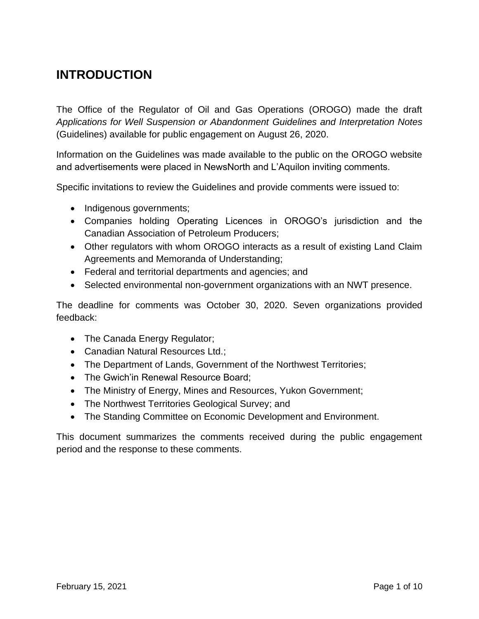## <span id="page-2-0"></span>**INTRODUCTION**

The Office of the Regulator of Oil and Gas Operations (OROGO) made the draft *Applications for Well Suspension or Abandonment Guidelines and Interpretation Notes*  (Guidelines) available for public engagement on August 26, 2020.

Information on the Guidelines was made available to the public on the OROGO website and advertisements were placed in NewsNorth and L'Aquilon inviting comments.

Specific invitations to review the Guidelines and provide comments were issued to:

- Indigenous governments;
- Companies holding Operating Licences in OROGO's jurisdiction and the Canadian Association of Petroleum Producers;
- Other regulators with whom OROGO interacts as a result of existing Land Claim Agreements and Memoranda of Understanding;
- Federal and territorial departments and agencies; and
- Selected environmental non-government organizations with an NWT presence.

The deadline for comments was October 30, 2020. Seven organizations provided feedback:

- The Canada Energy Regulator;
- Canadian Natural Resources Ltd.;
- The Department of Lands, Government of the Northwest Territories;
- The Gwich'in Renewal Resource Board;
- The Ministry of Energy, Mines and Resources, Yukon Government;
- The Northwest Territories Geological Survey; and
- The Standing Committee on Economic Development and Environment.

This document summarizes the comments received during the public engagement period and the response to these comments.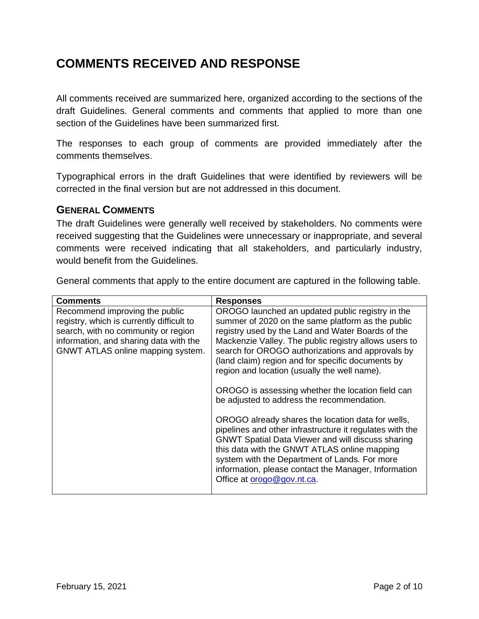## <span id="page-3-0"></span>**COMMENTS RECEIVED AND RESPONSE**

All comments received are summarized here, organized according to the sections of the draft Guidelines. General comments and comments that applied to more than one section of the Guidelines have been summarized first.

The responses to each group of comments are provided immediately after the comments themselves.

Typographical errors in the draft Guidelines that were identified by reviewers will be corrected in the final version but are not addressed in this document.

#### <span id="page-3-1"></span>**GENERAL COMMENTS**

The draft Guidelines were generally well received by stakeholders. No comments were received suggesting that the Guidelines were unnecessary or inappropriate, and several comments were received indicating that all stakeholders, and particularly industry, would benefit from the Guidelines.

General comments that apply to the entire document are captured in the following table.

| <b>Comments</b>                                                                                                                                                                                   | <b>Responses</b>                                                                                                                                                                                                                                                                                                                                                                                                                                                                                                                                                                                                                                                                                                                                                                                                                                    |
|---------------------------------------------------------------------------------------------------------------------------------------------------------------------------------------------------|-----------------------------------------------------------------------------------------------------------------------------------------------------------------------------------------------------------------------------------------------------------------------------------------------------------------------------------------------------------------------------------------------------------------------------------------------------------------------------------------------------------------------------------------------------------------------------------------------------------------------------------------------------------------------------------------------------------------------------------------------------------------------------------------------------------------------------------------------------|
| Recommend improving the public<br>registry, which is currently difficult to<br>search, with no community or region<br>information, and sharing data with the<br>GNWT ATLAS online mapping system. | OROGO launched an updated public registry in the<br>summer of 2020 on the same platform as the public<br>registry used by the Land and Water Boards of the<br>Mackenzie Valley. The public registry allows users to<br>search for OROGO authorizations and approvals by<br>(land claim) region and for specific documents by<br>region and location (usually the well name).<br>OROGO is assessing whether the location field can<br>be adjusted to address the recommendation.<br>OROGO already shares the location data for wells,<br>pipelines and other infrastructure it regulates with the<br><b>GNWT Spatial Data Viewer and will discuss sharing</b><br>this data with the GNWT ATLAS online mapping<br>system with the Department of Lands. For more<br>information, please contact the Manager, Information<br>Office at orogo@gov.nt.ca. |
|                                                                                                                                                                                                   |                                                                                                                                                                                                                                                                                                                                                                                                                                                                                                                                                                                                                                                                                                                                                                                                                                                     |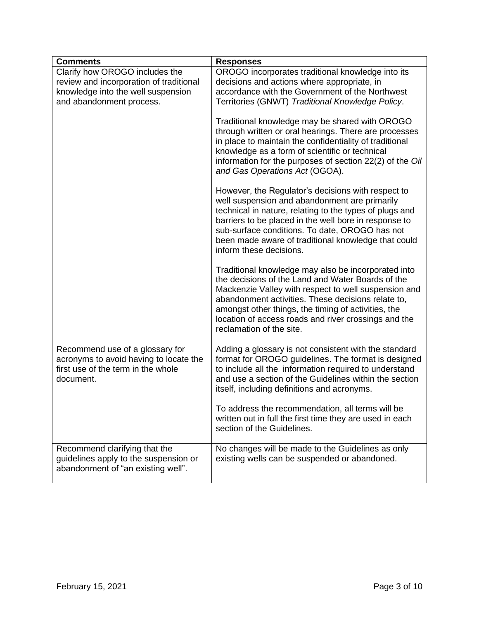| <b>Comments</b>                                                                                                              | <b>Responses</b>                                                                                                                                                                                                                                                                                                                                                  |
|------------------------------------------------------------------------------------------------------------------------------|-------------------------------------------------------------------------------------------------------------------------------------------------------------------------------------------------------------------------------------------------------------------------------------------------------------------------------------------------------------------|
| Clarify how OROGO includes the                                                                                               | OROGO incorporates traditional knowledge into its                                                                                                                                                                                                                                                                                                                 |
| review and incorporation of traditional                                                                                      | decisions and actions where appropriate, in                                                                                                                                                                                                                                                                                                                       |
| knowledge into the well suspension                                                                                           | accordance with the Government of the Northwest                                                                                                                                                                                                                                                                                                                   |
| and abandonment process.                                                                                                     | Territories (GNWT) Traditional Knowledge Policy.                                                                                                                                                                                                                                                                                                                  |
|                                                                                                                              | Traditional knowledge may be shared with OROGO<br>through written or oral hearings. There are processes<br>in place to maintain the confidentiality of traditional<br>knowledge as a form of scientific or technical<br>information for the purposes of section 22(2) of the Oil<br>and Gas Operations Act (OGOA).                                                |
|                                                                                                                              | However, the Regulator's decisions with respect to<br>well suspension and abandonment are primarily<br>technical in nature, relating to the types of plugs and<br>barriers to be placed in the well bore in response to<br>sub-surface conditions. To date, OROGO has not<br>been made aware of traditional knowledge that could<br>inform these decisions.       |
|                                                                                                                              | Traditional knowledge may also be incorporated into<br>the decisions of the Land and Water Boards of the<br>Mackenzie Valley with respect to well suspension and<br>abandonment activities. These decisions relate to,<br>amongst other things, the timing of activities, the<br>location of access roads and river crossings and the<br>reclamation of the site. |
| Recommend use of a glossary for<br>acronyms to avoid having to locate the<br>first use of the term in the whole<br>document. | Adding a glossary is not consistent with the standard<br>format for OROGO guidelines. The format is designed<br>to include all the information required to understand<br>and use a section of the Guidelines within the section<br>itself, including definitions and acronyms.                                                                                    |
|                                                                                                                              | To address the recommendation, all terms will be<br>written out in full the first time they are used in each<br>section of the Guidelines.                                                                                                                                                                                                                        |
| Recommend clarifying that the<br>guidelines apply to the suspension or<br>abandonment of "an existing well".                 | No changes will be made to the Guidelines as only<br>existing wells can be suspended or abandoned.                                                                                                                                                                                                                                                                |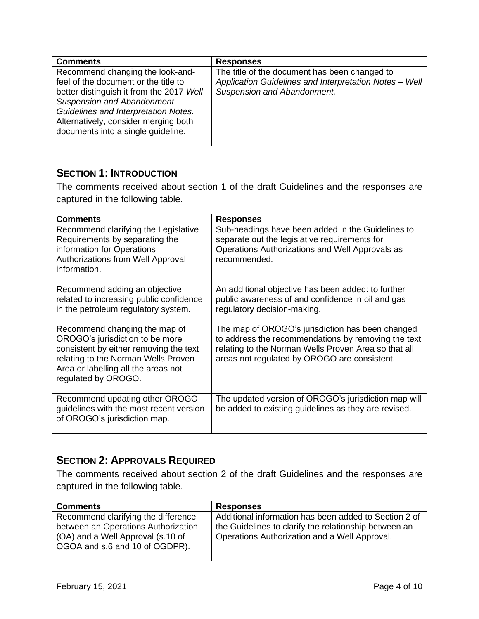| <b>Comments</b>                                                                                                                                                                                                                                                                 | <b>Responses</b>                                                                                                                       |
|---------------------------------------------------------------------------------------------------------------------------------------------------------------------------------------------------------------------------------------------------------------------------------|----------------------------------------------------------------------------------------------------------------------------------------|
| Recommend changing the look-and-<br>feel of the document or the title to<br>better distinguish it from the 2017 Well<br><b>Suspension and Abandonment</b><br>Guidelines and Interpretation Notes.<br>Alternatively, consider merging both<br>documents into a single guideline. | The title of the document has been changed to<br>Application Guidelines and Interpretation Notes - Well<br>Suspension and Abandonment. |

#### <span id="page-5-0"></span>**SECTION 1: INTRODUCTION**

The comments received about section 1 of the draft Guidelines and the responses are captured in the following table.

| <b>Comments</b>                                                                                                                                                                                                 | <b>Responses</b>                                                                                                                                                                                                |
|-----------------------------------------------------------------------------------------------------------------------------------------------------------------------------------------------------------------|-----------------------------------------------------------------------------------------------------------------------------------------------------------------------------------------------------------------|
| Recommend clarifying the Legislative<br>Requirements by separating the<br>information for Operations<br>Authorizations from Well Approval<br>information.                                                       | Sub-headings have been added in the Guidelines to<br>separate out the legislative requirements for<br>Operations Authorizations and Well Approvals as<br>recommended.                                           |
| Recommend adding an objective<br>related to increasing public confidence<br>in the petroleum regulatory system.                                                                                                 | An additional objective has been added: to further<br>public awareness of and confidence in oil and gas<br>regulatory decision-making.                                                                          |
| Recommend changing the map of<br>OROGO's jurisdiction to be more<br>consistent by either removing the text<br>relating to the Norman Wells Proven<br>Area or labelling all the areas not<br>regulated by OROGO. | The map of OROGO's jurisdiction has been changed<br>to address the recommendations by removing the text<br>relating to the Norman Wells Proven Area so that all<br>areas not regulated by OROGO are consistent. |
| Recommend updating other OROGO<br>guidelines with the most recent version<br>of OROGO's jurisdiction map.                                                                                                       | The updated version of OROGO's jurisdiction map will<br>be added to existing guidelines as they are revised.                                                                                                    |

#### <span id="page-5-1"></span>**SECTION 2: APPROVALS REQUIRED**

The comments received about section 2 of the draft Guidelines and the responses are captured in the following table.

| <b>Comments</b>                                                            | <b>Responses</b>                                                                                                                                                |
|----------------------------------------------------------------------------|-----------------------------------------------------------------------------------------------------------------------------------------------------------------|
| Recommend clarifying the difference<br>between an Operations Authorization | Additional information has been added to Section 2 of<br>the Guidelines to clarify the relationship between an<br>Operations Authorization and a Well Approval. |
| (OA) and a Well Approval (s.10 of<br>OGOA and s.6 and 10 of OGDPR).        |                                                                                                                                                                 |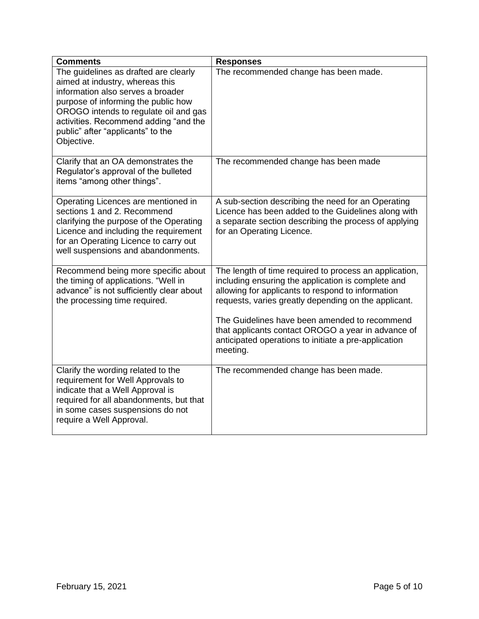<span id="page-6-0"></span>

| <b>Comments</b>                                                                                                                                                                                                                                                                           | <b>Responses</b>                                                                                                                                                                                                                                                                                                                                                                                     |
|-------------------------------------------------------------------------------------------------------------------------------------------------------------------------------------------------------------------------------------------------------------------------------------------|------------------------------------------------------------------------------------------------------------------------------------------------------------------------------------------------------------------------------------------------------------------------------------------------------------------------------------------------------------------------------------------------------|
| The guidelines as drafted are clearly<br>aimed at industry, whereas this<br>information also serves a broader<br>purpose of informing the public how<br>OROGO intends to regulate oil and gas<br>activities. Recommend adding "and the<br>public" after "applicants" to the<br>Objective. | The recommended change has been made.                                                                                                                                                                                                                                                                                                                                                                |
| Clarify that an OA demonstrates the<br>Regulator's approval of the bulleted<br>items "among other things".                                                                                                                                                                                | The recommended change has been made                                                                                                                                                                                                                                                                                                                                                                 |
| Operating Licences are mentioned in<br>sections 1 and 2. Recommend<br>clarifying the purpose of the Operating<br>Licence and including the requirement<br>for an Operating Licence to carry out<br>well suspensions and abandonments.                                                     | A sub-section describing the need for an Operating<br>Licence has been added to the Guidelines along with<br>a separate section describing the process of applying<br>for an Operating Licence.                                                                                                                                                                                                      |
| Recommend being more specific about<br>the timing of applications. "Well in<br>advance" is not sufficiently clear about<br>the processing time required.                                                                                                                                  | The length of time required to process an application,<br>including ensuring the application is complete and<br>allowing for applicants to respond to information<br>requests, varies greatly depending on the applicant.<br>The Guidelines have been amended to recommend<br>that applicants contact OROGO a year in advance of<br>anticipated operations to initiate a pre-application<br>meeting. |
| Clarify the wording related to the<br>requirement for Well Approvals to<br>indicate that a Well Approval is<br>required for all abandonments, but that<br>in some cases suspensions do not<br>require a Well Approval.                                                                    | The recommended change has been made.                                                                                                                                                                                                                                                                                                                                                                |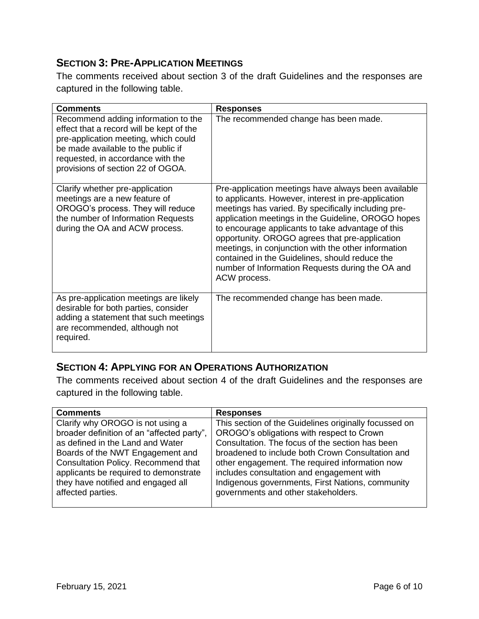#### **SECTION 3: PRE-APPLICATION MEETINGS**

The comments received about section 3 of the draft Guidelines and the responses are captured in the following table.

| <b>Comments</b>                                                                                                                                                                                                                         | <b>Responses</b>                                                                                                                                                                                                                                                                                                                                                                                                                                                                                            |
|-----------------------------------------------------------------------------------------------------------------------------------------------------------------------------------------------------------------------------------------|-------------------------------------------------------------------------------------------------------------------------------------------------------------------------------------------------------------------------------------------------------------------------------------------------------------------------------------------------------------------------------------------------------------------------------------------------------------------------------------------------------------|
| Recommend adding information to the<br>effect that a record will be kept of the<br>pre-application meeting, which could<br>be made available to the public if<br>requested, in accordance with the<br>provisions of section 22 of OGOA. | The recommended change has been made.                                                                                                                                                                                                                                                                                                                                                                                                                                                                       |
| Clarify whether pre-application<br>meetings are a new feature of<br>OROGO's process. They will reduce<br>the number of Information Requests<br>during the OA and ACW process.                                                           | Pre-application meetings have always been available<br>to applicants. However, interest in pre-application<br>meetings has varied. By specifically including pre-<br>application meetings in the Guideline, OROGO hopes<br>to encourage applicants to take advantage of this<br>opportunity. OROGO agrees that pre-application<br>meetings, in conjunction with the other information<br>contained in the Guidelines, should reduce the<br>number of Information Requests during the OA and<br>ACW process. |
| As pre-application meetings are likely<br>desirable for both parties, consider<br>adding a statement that such meetings<br>are recommended, although not<br>required.                                                                   | The recommended change has been made.                                                                                                                                                                                                                                                                                                                                                                                                                                                                       |

#### <span id="page-7-0"></span>**SECTION 4: APPLYING FOR AN OPERATIONS AUTHORIZATION**

The comments received about section 4 of the draft Guidelines and the responses are captured in the following table.

| <b>Comments</b>                                                                                                                                                                                                                                                                                   | <b>Responses</b>                                                                                                                                                                                                                                                                                                                                                                                    |
|---------------------------------------------------------------------------------------------------------------------------------------------------------------------------------------------------------------------------------------------------------------------------------------------------|-----------------------------------------------------------------------------------------------------------------------------------------------------------------------------------------------------------------------------------------------------------------------------------------------------------------------------------------------------------------------------------------------------|
| Clarify why OROGO is not using a<br>broader definition of an "affected party",<br>as defined in the Land and Water<br>Boards of the NWT Engagement and<br>Consultation Policy. Recommend that<br>applicants be required to demonstrate<br>they have notified and engaged all<br>affected parties. | This section of the Guidelines originally focussed on<br>OROGO's obligations with respect to Crown<br>Consultation. The focus of the section has been<br>broadened to include both Crown Consultation and<br>other engagement. The required information now<br>includes consultation and engagement with<br>Indigenous governments, First Nations, community<br>governments and other stakeholders. |
|                                                                                                                                                                                                                                                                                                   |                                                                                                                                                                                                                                                                                                                                                                                                     |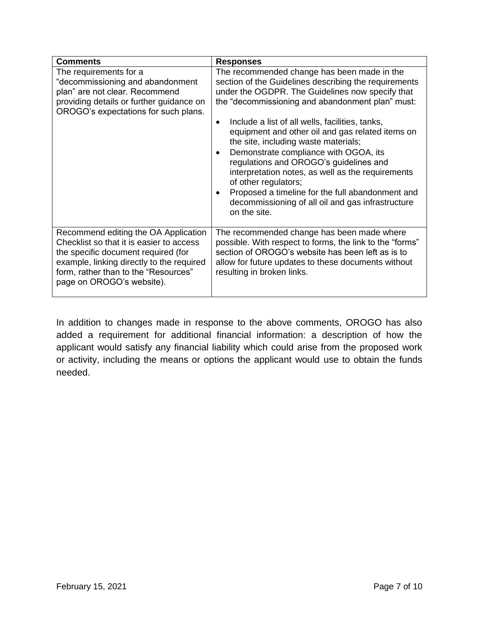| <b>Comments</b>                                                                                                                                                                                                                           | <b>Responses</b>                                                                                                                                                                                                                                                                                                                                                                                                                                                                                                                                                                                                                                                  |
|-------------------------------------------------------------------------------------------------------------------------------------------------------------------------------------------------------------------------------------------|-------------------------------------------------------------------------------------------------------------------------------------------------------------------------------------------------------------------------------------------------------------------------------------------------------------------------------------------------------------------------------------------------------------------------------------------------------------------------------------------------------------------------------------------------------------------------------------------------------------------------------------------------------------------|
| The requirements for a<br>"decommissioning and abandonment<br>plan" are not clear. Recommend<br>providing details or further guidance on<br>OROGO's expectations for such plans.                                                          | The recommended change has been made in the<br>section of the Guidelines describing the requirements<br>under the OGDPR. The Guidelines now specify that<br>the "decommissioning and abandonment plan" must:<br>Include a list of all wells, facilities, tanks,<br>$\bullet$<br>equipment and other oil and gas related items on<br>the site, including waste materials;<br>Demonstrate compliance with OGOA, its<br>regulations and OROGO's guidelines and<br>interpretation notes, as well as the requirements<br>of other regulators;<br>Proposed a timeline for the full abandonment and<br>decommissioning of all oil and gas infrastructure<br>on the site. |
| Recommend editing the OA Application<br>Checklist so that it is easier to access<br>the specific document required (for<br>example, linking directly to the required<br>form, rather than to the "Resources"<br>page on OROGO's website). | The recommended change has been made where<br>possible. With respect to forms, the link to the "forms"<br>section of OROGO's website has been left as is to<br>allow for future updates to these documents without<br>resulting in broken links.                                                                                                                                                                                                                                                                                                                                                                                                                  |

<span id="page-8-0"></span>In addition to changes made in response to the above comments, OROGO has also added a requirement for additional financial information: a description of how the applicant would satisfy any financial liability which could arise from the proposed work or activity, including the means or options the applicant would use to obtain the funds needed.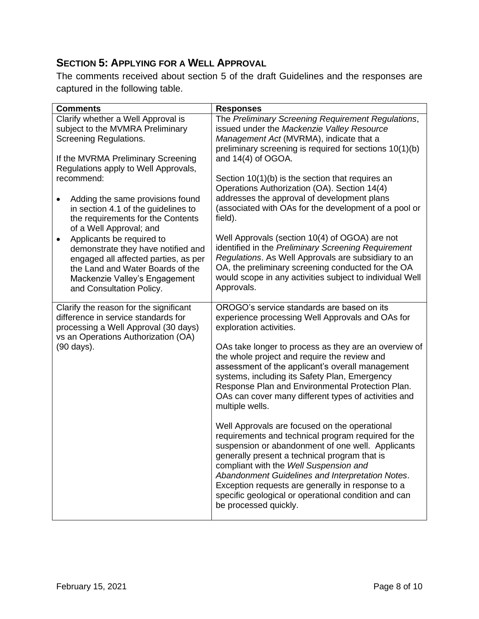#### **SECTION 5: APPLYING FOR A WELL APPROVAL**

The comments received about section 5 of the draft Guidelines and the responses are captured in the following table.

| <b>Comments</b>                                                                                                                                                                                                                                                                                                       | <b>Responses</b>                                                                                                                                                                                                                                                                                                                                                                                                                               |
|-----------------------------------------------------------------------------------------------------------------------------------------------------------------------------------------------------------------------------------------------------------------------------------------------------------------------|------------------------------------------------------------------------------------------------------------------------------------------------------------------------------------------------------------------------------------------------------------------------------------------------------------------------------------------------------------------------------------------------------------------------------------------------|
| Clarify whether a Well Approval is<br>subject to the MVMRA Preliminary<br>Screening Regulations.<br>If the MVRMA Preliminary Screening                                                                                                                                                                                | The Preliminary Screening Requirement Regulations,<br>issued under the Mackenzie Valley Resource<br>Management Act (MVRMA), indicate that a<br>preliminary screening is required for sections 10(1)(b)<br>and 14(4) of OGOA.                                                                                                                                                                                                                   |
| Regulations apply to Well Approvals,<br>recommend:<br>Adding the same provisions found<br>in section 4.1 of the guidelines to<br>the requirements for the Contents<br>of a Well Approval; and<br>Applicants be required to<br>$\bullet$<br>demonstrate they have notified and<br>engaged all affected parties, as per | Section 10(1)(b) is the section that requires an<br>Operations Authorization (OA). Section 14(4)<br>addresses the approval of development plans<br>(associated with OAs for the development of a pool or<br>field).<br>Well Approvals (section 10(4) of OGOA) are not<br>identified in the Preliminary Screening Requirement<br>Regulations. As Well Approvals are subsidiary to an                                                            |
| the Land and Water Boards of the<br>Mackenzie Valley's Engagement<br>and Consultation Policy.                                                                                                                                                                                                                         | OA, the preliminary screening conducted for the OA<br>would scope in any activities subject to individual Well<br>Approvals.                                                                                                                                                                                                                                                                                                                   |
| Clarify the reason for the significant<br>difference in service standards for<br>processing a Well Approval (30 days)<br>vs an Operations Authorization (OA)                                                                                                                                                          | OROGO's service standards are based on its<br>experience processing Well Approvals and OAs for<br>exploration activities.                                                                                                                                                                                                                                                                                                                      |
| (90 days).                                                                                                                                                                                                                                                                                                            | OAs take longer to process as they are an overview of<br>the whole project and require the review and<br>assessment of the applicant's overall management<br>systems, including its Safety Plan, Emergency<br>Response Plan and Environmental Protection Plan.<br>OAs can cover many different types of activities and<br>multiple wells.                                                                                                      |
|                                                                                                                                                                                                                                                                                                                       | Well Approvals are focused on the operational<br>requirements and technical program required for the<br>suspension or abandonment of one well. Applicants<br>generally present a technical program that is<br>compliant with the Well Suspension and<br>Abandonment Guidelines and Interpretation Notes.<br>Exception requests are generally in response to a<br>specific geological or operational condition and can<br>be processed quickly. |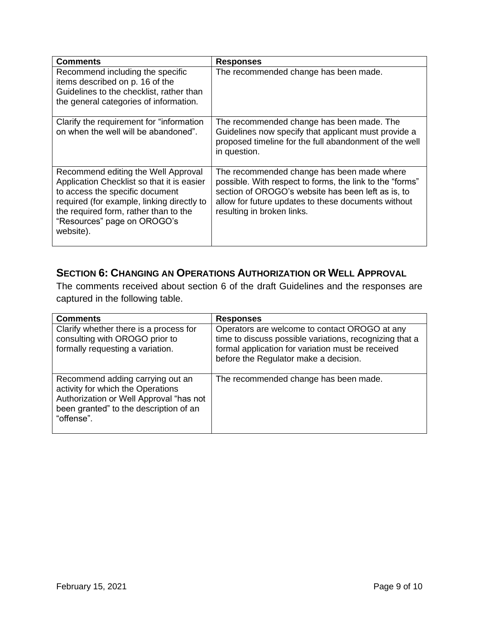| Comments                                                                                                                                                                                                                                                | <b>Responses</b>                                                                                                                                                                                                                                  |
|---------------------------------------------------------------------------------------------------------------------------------------------------------------------------------------------------------------------------------------------------------|---------------------------------------------------------------------------------------------------------------------------------------------------------------------------------------------------------------------------------------------------|
| Recommend including the specific<br>items described on p. 16 of the<br>Guidelines to the checklist, rather than<br>the general categories of information.                                                                                               | The recommended change has been made.                                                                                                                                                                                                             |
| Clarify the requirement for "information"<br>on when the well will be abandoned".                                                                                                                                                                       | The recommended change has been made. The<br>Guidelines now specify that applicant must provide a<br>proposed timeline for the full abandonment of the well<br>in question.                                                                       |
| Recommend editing the Well Approval<br>Application Checklist so that it is easier<br>to access the specific document<br>required (for example, linking directly to<br>the required form, rather than to the<br>"Resources" page on OROGO's<br>website). | The recommended change has been made where<br>possible. With respect to forms, the link to the "forms"<br>section of OROGO's website has been left as is, to<br>allow for future updates to these documents without<br>resulting in broken links. |

#### <span id="page-10-0"></span>**SECTION 6: CHANGING AN OPERATIONS AUTHORIZATION OR WELL APPROVAL**

The comments received about section 6 of the draft Guidelines and the responses are captured in the following table.

| <b>Comments</b>                                                                                                                                                          | <b>Responses</b>                                                                                                                                                                                       |
|--------------------------------------------------------------------------------------------------------------------------------------------------------------------------|--------------------------------------------------------------------------------------------------------------------------------------------------------------------------------------------------------|
| Clarify whether there is a process for<br>consulting with OROGO prior to<br>formally requesting a variation.                                                             | Operators are welcome to contact OROGO at any<br>time to discuss possible variations, recognizing that a<br>formal application for variation must be received<br>before the Regulator make a decision. |
| Recommend adding carrying out an<br>activity for which the Operations<br>Authorization or Well Approval "has not<br>been granted" to the description of an<br>"offense". | The recommended change has been made.                                                                                                                                                                  |